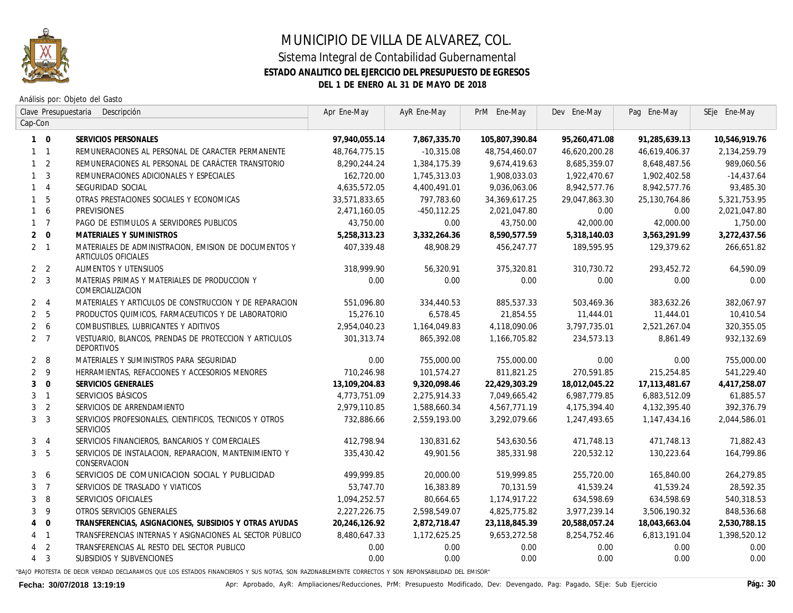

## MUNICIPIO DE VILLA DE ALVAREZ, COL. Sistema Integral de Contabilidad Gubernamental **ESTADO ANALITICO DEL EJERCICIO DEL PRESUPUESTO DE EGRESOS DEL 1 DE ENERO AL 31 DE MAYO DE 2018**

Análisis por: Objeto del Gasto

| Clave Presupuestaria<br>Descripción |                 |                                                                                     | Apr Ene-May   | AyR Ene-May  | PrM Ene-May    | Dev Ene-May   | Pag Ene-May      | SEje Ene-May    |
|-------------------------------------|-----------------|-------------------------------------------------------------------------------------|---------------|--------------|----------------|---------------|------------------|-----------------|
| Cap-Con                             |                 |                                                                                     |               |              |                |               |                  |                 |
|                                     | $1 \quad 0$     | SERVICIOS PERSONALES                                                                | 97,940,055.14 | 7,867,335.70 | 105,807,390.84 | 95,260,471.08 | 91,285,639.13    | 10,546,919.76   |
|                                     | $1 \quad 1$     | REMUNERACIONES AL PERSONAL DE CARACTER PERMANENTE                                   | 48,764,775.15 | $-10,315.08$ | 48,754,460.07  | 46,620,200.28 | 46,619,406.37    | 2, 134, 259. 79 |
|                                     | $1\quad 2$      | REMUNERACIONES AL PERSONAL DE CARÁCTER TRANSITORIO                                  | 8,290,244.24  | 1,384,175.39 | 9,674,419.63   | 8,685,359.07  | 8,648,487.56     | 989,060.56      |
|                                     | 1 <sup>3</sup>  | REMUNERACIONES ADICIONALES Y ESPECIALES                                             | 162,720.00    | 1,745,313.03 | 1,908,033.03   | 1,922,470.67  | 1,902,402.58     | $-14,437.64$    |
|                                     | $1 \quad 4$     | SEGURIDAD SOCIAL                                                                    | 4,635,572.05  | 4,400,491.01 | 9,036,063.06   | 8,942,577.76  | 8,942,577.76     | 93,485.30       |
|                                     | 1 <sub>5</sub>  | OTRAS PRESTACIONES SOCIALES Y ECONOMICAS                                            | 33,571,833.65 | 797,783.60   | 34,369,617.25  | 29,047,863.30 | 25,130,764.86    | 5,321,753.95    |
|                                     | $1\quad 6$      | <b>PREVISIONES</b>                                                                  | 2,471,160.05  | -450,112.25  | 2,021,047.80   | 0.00          | 0.00             | 2,021,047.80    |
|                                     | $1 \quad 7$     | PAGO DE ESTIMULOS A SERVIDORES PUBLICOS                                             | 43,750.00     | 0.00         | 43,750.00      | 42,000.00     | <i>42.000.00</i> | 1,750.00        |
|                                     | $2 \quad 0$     | <b>MATERIALES Y SUMINISTROS</b>                                                     | 5,258,313.23  | 3,332,264.36 | 8,590,577.59   | 5,318,140.03  | 3,563,291.99     | 3,272,437.56    |
|                                     | $2 \quad 1$     | MATERIALES DE ADMINISTRACION. EMISION DE DOCUMENTOS Y<br><b>ARTICULOS OFICIALES</b> | 407,339,48    | 48,908,29    | 456,247.77     | 189,595,95    | 129,379.62       | 266,651.82      |
|                                     | 2 <sub>2</sub>  | ALIMENTOS Y UTENSILIOS                                                              | 318,999.90    | 56,320.91    | 375,320.81     | 310,730.72    | 293,452.72       | 64,590.09       |
|                                     | 2 <sup>3</sup>  | MATERIAS PRIMAS Y MATERIALES DE PRODUCCION Y<br>COMERCIALIZACION                    | 0.00          | 0.00         | 0.00           | 0.00          | 0.00             | 0.00            |
|                                     | 2 <sub>1</sub>  | MATERIALES Y ARTICULOS DE CONSTRUCCION Y DE REPARACION                              | 551,096.80    | 334,440.53   | 885,537.33     | 503,469.36    | 383,632.26       | 382,067.97      |
|                                     | 2 <sub>5</sub>  | PRODUCTOS QUIMICOS, FARMACEUTICOS Y DE LABORATORIO                                  | 15,276.10     | 6,578.45     | 21,854.55      | 11,444.01     | 11,444.01        | 10,410.54       |
|                                     | $2\overline{6}$ | COMBUSTIBLES, LUBRICANTES Y ADITIVOS                                                | 2.954.040.23  | 1.164.049.83 | 4,118,090.06   | 3,797,735,01  | 2.521.267.04     | 320,355.05      |
|                                     | 2 <sub>7</sub>  | VESTUARIO, BLANCOS, PRENDAS DE PROTECCION Y ARTICULOS<br>DEPORTIVOS                 | 301, 313.74   | 865,392.08   | 1,166,705.82   | 234,573.13    | 8.861.49         | 932,132.69      |
|                                     | $2 \quad 8$     | MATERIALES Y SUMINISTROS PARA SEGURIDAD                                             | 0.00          | 755,000.00   | 755,000.00     | 0.00          | 0.00             | 755,000.00      |
|                                     | 2 <sub>9</sub>  | HERRAMIENTAS, REFACCIONES Y ACCESORIOS MENORES                                      | 710,246.98    | 101,574.27   | 811,821.25     | 270,591.85    | 215,254.85       | 541,229.40      |
|                                     | $3 \quad 0$     | SERVICIOS GENERALES                                                                 | 13,109,204.83 | 9.320.098.46 | 22,429,303.29  | 18,012,045.22 | 17,113,481.67    | 4,417,258.07    |
|                                     | 3 <sub>1</sub>  | SERVICIOS BÁSICOS                                                                   | 4,773,751.09  | 2,275,914.33 | 7,049,665.42   | 6,987,779.85  | 6,883,512.09     | 61,885.57       |
|                                     | 3 <sub>2</sub>  | SERVICIOS DE ARRENDAMIENTO                                                          | 2,979,110.85  | 1,588,660.34 | 4,567,771.19   | 4,175,394.40  | 4, 132, 395.40   | 392,376.79      |
|                                     | 3 <sup>3</sup>  | SERVICIOS PROFESIONALES, CIENTIFICOS, TECNICOS Y OTROS<br>SERVICIOS                 | 732,886.66    | 2,559,193.00 | 3,292,079.66   | 1,247,493.65  | 1,147,434.16     | 2,044,586.01    |
|                                     | 3 <sub>4</sub>  | SERVICIOS FINANCIEROS, BANCARIOS Y COMERCIALES                                      | 412,798.94    | 130,831.62   | 543,630.56     | 471,748.13    | 471,748.13       | 71,882.43       |
|                                     | 3 <sub>5</sub>  | SERVICIOS DE INSTALACION, REPARACION, MANTENIMIENTO Y<br>CONSERVACION               | 335,430.42    | 49,901.56    | 385,331.98     | 220,532.12    | 130,223.64       | 164,799.86      |
|                                     | 3 <sub>6</sub>  | SERVICIOS DE COMUNICACION SOCIAL Y PUBLICIDAD                                       | 499,999.85    | 20.000.00    | 519,999.85     | 255,720.00    | 165,840,00       | 264,279.85      |
|                                     | 3 <sub>7</sub>  | SERVICIOS DE TRASLADO Y VIATICOS                                                    | 53,747.70     | 16,383.89    | 70.131.59      | 41,539,24     | 41,539,24        | 28.592.35       |
| 3                                   | - 8             | SERVICIOS OFICIALES                                                                 | 1,094,252.57  | 80,664.65    | 1,174,917.22   | 634,598.69    | 634,598.69       | 540,318.53      |
|                                     | 3 <sup>9</sup>  | OTROS SERVICIOS GENERALES                                                           | 2,227,226.75  | 2,598,549.07 | 4,825,775.82   | 3,977,239.14  | 3,506,190.32     | 848,536.68      |
| $\overline{4}$                      | $\overline{0}$  | TRANSFERENCIAS, ASIGNACIONES, SUBSIDIOS Y OTRAS AYUDAS                              | 20,246,126.92 | 2,872,718.47 | 23,118,845.39  | 20,588,057.24 | 18,043,663.04    | 2,530,788.15    |
|                                     | $4 \quad 1$     | TRANSFERENCIAS INTERNAS Y ASIGNACIONES AL SECTOR PÚBLICO                            | 8.480.647.33  | 1,172,625.25 | 9.653.272.58   | 8.254.752.46  | 6.813.191.04     | 1,398,520.12    |
|                                     | 4 <sub>2</sub>  | TRANSFERENCIAS AL RESTO DEL SECTOR PUBLICO                                          | 0.00          | 0.00         | 0.00           | 0.00          | 0.00             | 0.00            |
|                                     | $4 \quad 3$     | SUBSIDIOS Y SUBVENCIONES                                                            | 0.00          | 0.00         | 0.00           | 0.00          | 0.00             | 0.00            |
|                                     |                 |                                                                                     |               |              |                |               |                  |                 |

"BAJO PROTESTA DE DECIR VERDAD DECLARAMOS QUE LOS ESTADOS FINANCIEROS Y SUS NOTAS, SON RAZONABLEMENTE CORRECTOS Y SON REPONSABILIDAD DEL EMISOR"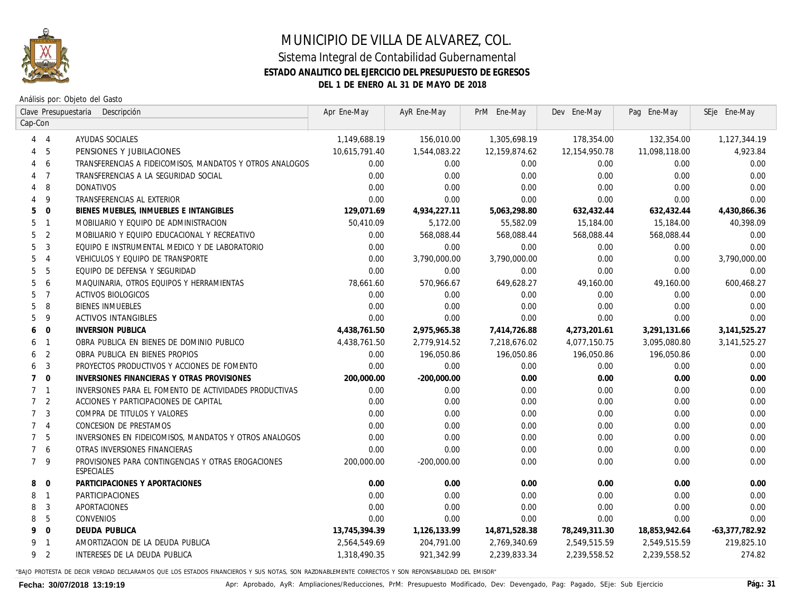

## MUNICIPIO DE VILLA DE ALVAREZ, COL. Sistema Integral de Contabilidad Gubernamental **ESTADO ANALITICO DEL EJERCICIO DEL PRESUPUESTO DE EGRESOS**

**DEL 1 DE ENERO AL 31 DE MAYO DE 2018**

Análisis por: Objeto del Gasto

| Clave Presupuestaria             | Descripción                                                      | Apr Ene-May   | AyR Ene-May   | PrM Ene-May   | Dev Ene-May      | Pag Ene-May   | SEje Ene-May     |
|----------------------------------|------------------------------------------------------------------|---------------|---------------|---------------|------------------|---------------|------------------|
| Cap-Con                          |                                                                  |               |               |               |                  |               |                  |
| $\overline{4}$<br>4              | AYUDAS SOCIALES                                                  | 1,149,688.19  | 156,010.00    | 1,305,698.19  | 178,354.00       | 132,354.00    | 1,127,344.19     |
| 5<br>4                           | PENSIONES Y JUBILACIONES                                         | 10,615,791.40 | 1,544,083.22  | 12,159,874.62 | 12, 154, 950. 78 | 11,098,118.00 | 4.923.84         |
| 6<br>4                           | TRANSFERENCIAS A FIDEICOMISOS, MANDATOS Y OTROS ANALOGOS         | 0.00          | 0.00          | 0.00          | 0.00             | 0.00          | 0.00             |
| $\overline{7}$<br>4              | TRANSFERENCIAS A LA SEGURIDAD SOCIAL                             | 0.00          | 0.00          | 0.00          | 0.00             | 0.00          | 0.00             |
| 8                                | DONATIVOS                                                        | 0.00          | 0.00          | 0.00          | 0.00             | 0.00          | 0.00             |
| 9                                | TRANSFERENCIAS AL EXTERIOR                                       | 0.00          | 0.00          | 0.00          | 0.00             | 0.00          | 0.00             |
| $\mathbf 0$<br>5                 | BIENES MUEBLES, INMUEBLES E INTANGIBLES                          | 129,071.69    | 4,934,227.11  | 5,063,298.80  | 632,432.44       | 632,432.44    | 4,430,866.36     |
| 5<br>$\mathbf{1}$                | MOBILIARIO Y EQUIPO DE ADMINISTRACION                            | 50,410.09     | 5,172.00      | 55,582.09     | 15,184.00        | 15,184.00     | 40,398.09        |
| 2<br>5                           | MOBILIARIO Y EQUIPO EDUCACIONAL Y RECREATIVO                     | 0.00          | 568,088.44    | 568,088.44    | 568,088.44       | 568,088.44    | 0.00             |
| 3<br>5                           | EQUIPO E INSTRUMENTAL MEDICO Y DE LABORATORIO                    | 0.00          | 0.00          | 0.00          | 0.00             | 0.00          | 0.00             |
| 5<br>$\overline{4}$              | VEHICULOS Y EQUIPO DE TRANSPORTE                                 | 0.00          | 3,790,000.00  | 3,790,000.00  | 0.00             | 0.00          | 3,790,000.00     |
| 5<br>5                           | EQUIPO DE DEFENSA Y SEGURIDAD                                    | 0.00          | 0.00          | 0.00          | 0.00             | 0.00          | 0.00             |
| 6<br>5                           | MAQUINARIA, OTROS EQUIPOS Y HERRAMIENTAS                         | 78,661.60     | 570,966.67    | 649,628.27    | 49,160.00        | 49,160.00     | 600,468.27       |
| 5<br>$\overline{7}$              | ACTIVOS BIOLOGICOS                                               | 0.00          | 0.00          | 0.00          | 0.00             | 0.00          | 0.00             |
| 8<br>5                           | <b>BIENES INMUEBLES</b>                                          | 0.00          | 0.00          | 0.00          | 0.00             | 0.00          | 0.00             |
| 9<br>5                           | <b>ACTIVOS INTANGIBLES</b>                                       | 0.00          | 0.00          | 0.00          | 0.00             | 0.00          | 0.00             |
| $\mathbf 0$<br>6                 | <b>INVERSION PUBLICA</b>                                         | 4,438,761.50  | 2,975,965.38  | 7,414,726.88  | 4,273,201.61     | 3,291,131.66  | 3, 141, 525. 27  |
| $\mathbf{1}$<br>6                | OBRA PUBLICA EN BIENES DE DOMINIO PUBLICO                        | 4,438,761.50  | 2,779,914.52  | 7,218,676.02  | 4,077,150.75     | 3,095,080.80  | 3, 141, 525.27   |
| $\overline{2}$<br>6              | OBRA PUBLICA EN BIENES PROPIOS                                   | 0.00          | 196,050.86    | 196,050.86    | 196,050.86       | 196,050.86    | 0.00             |
| 3<br>6                           | PROYECTOS PRODUCTIVOS Y ACCIONES DE FOMENTO                      | 0.00          | 0.00          | 0.00          | 0.00             | 0.00          | 0.00             |
| $\mathbf{0}$<br>$\overline{7}$   | INVERSIONES FINANCIERAS Y OTRAS PROVISIONES                      | 200,000.00    | $-200,000.00$ | 0.00          | 0.00             | 0.00          | 0.00             |
| $\overline{7}$<br>$\mathbf{1}$   | INVERSIONES PARA EL FOMENTO DE ACTIVIDADES PRODUCTIVAS           | 0.00          | 0.00          | 0.00          | 0.00             | 0.00          | 0.00             |
| $\overline{2}$<br>$\overline{7}$ | ACCIONES Y PARTICIPACIONES DE CAPITAL                            | 0.00          | 0.00          | 0.00          | 0.00             | 0.00          | 0.00             |
| 3<br>$\overline{7}$              | COMPRA DE TITULOS Y VALORES                                      | 0.00          | 0.00          | 0.00          | 0.00             | 0.00          | 0.00             |
| $\overline{7}$<br>$\overline{4}$ | CONCESION DE PRESTAMOS                                           | 0.00          | 0.00          | 0.00          | 0.00             | 0.00          | 0.00             |
| 5<br>$\overline{7}$              | INVERSIONES EN FIDEICOMISOS, MANDATOS Y OTROS ANALOGOS           | 0.00          | 0.00          | 0.00          | 0.00             | 0.00          | 0.00             |
| $\overline{7}$<br>6              | OTRAS INVERSIONES FINANCIERAS                                    | 0.00          | 0.00          | 0.00          | 0.00             | 0.00          | 0.00             |
| 9<br>$7^{\circ}$                 | PROVISIONES PARA CONTINGENCIAS Y OTRAS EROGACIONES<br>ESPECIALES | 200,000.00    | -200,000.00   | 0.00          | 0.00             | 0.00          | 0.00             |
| 8<br>$\mathbf 0$                 | PARTICIPACIONES Y APORTACIONES                                   | 0.00          | 0.00          | 0.00          | 0.00             | 0.00          | 0.00             |
| $\mathbf{1}$<br>8                | PARTICIPACIONES                                                  | 0.00          | 0.00          | 0.00          | 0.00             | 0.00          | 0.00             |
| 3<br>8                           | APORTACIONES                                                     | 0.00          | 0.00          | 0.00          | 0.00             | 0.00          | 0.00             |
| 5<br>8                           | CONVENIOS                                                        | 0.00          | 0.00          | 0.00          | 0.00             | 0.00          | 0.00             |
| $\Omega$<br>9                    | <b>DEUDA PUBLICA</b>                                             | 13,745,394.39 | 1,126,133.99  | 14,871,528.38 | 78,249,311.30    | 18,853,942.64 | $-63,377,782.92$ |
| 9<br>$\mathbf{1}$                | AMORTIZACION DE LA DEUDA PUBLICA                                 | 2,564,549.69  | 204,791.00    | 2,769,340.69  | 2,549,515.59     | 2,549,515.59  | 219,825.10       |
| $\overline{2}$<br>9              | INTERESES DE LA DEUDA PUBLICA                                    | 1,318,490.35  | 921,342.99    | 2,239,833.34  | 2,239,558.52     | 2,239,558.52  | 274.82           |

"BAJO PROTESTA DE DECIR VERDAD DECLARAMOS QUE LOS ESTADOS FINANCIEROS Y SUS NOTAS, SON RAZONABLEMENTE CORRECTOS Y SON REPONSABILIDAD DEL EMISOR"